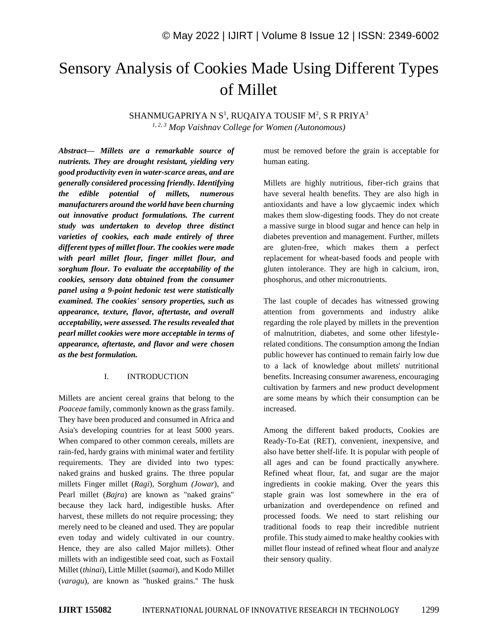# Sensory Analysis of Cookies Made Using Different Types of Millet

SHANMUGAPRIYA N S $^1$ , RUQAIYA TOUSIF M $^2$ , S R PRIYA $^3$ *1, 2, 3 Mop Vaishnav College for Women (Autonomous)*

*Abstract— Millets are a remarkable source of nutrients. They are drought resistant, yielding very good productivity even in water-scarce areas, and are generally considered processing friendly. Identifying the edible potential of millets, numerous manufacturers around the world have been churning out innovative product formulations. The current study was undertaken to develop three distinct varieties of cookies, each made entirely of three different types of millet flour. The cookies were made with pearl millet flour, finger millet flour, and sorghum flour. To evaluate the acceptability of the cookies, sensory data obtained from the consumer panel using a 9-point hedonic test were statistically examined. The cookies' sensory properties, such as appearance, texture, flavor, aftertaste, and overall acceptability, were assessed. The results revealed that pearl millet cookies were more acceptable in terms of appearance, aftertaste, and flavor and were chosen as the best formulation.*

### I. INTRODUCTION

Millets are ancient cereal grains that belong to the *Poaceae* family, commonly known as the grass family. They have been produced and consumed in Africa and Asia's developing countries for at least 5000 years. When compared to other common cereals, millets are rain-fed, hardy grains with minimal water and fertility requirements. They are divided into two types: naked grains and husked grains. The three popular millets Finger millet (*Ragi*), Sorghum *(Jowar*), and Pearl millet (*Bajra*) are known as "naked grains" because they lack hard, indigestible husks. After harvest, these millets do not require processing; they merely need to be cleaned and used. They are popular even today and widely cultivated in our country. Hence, they are also called Major millets). Other millets with an indigestible seed coat, such as Foxtail Millet (*thinai*), Little Millet (*saamai*), and Kodo Millet (*varagu*), are known as "husked grains." The husk

must be removed before the grain is acceptable for human eating.

Millets are highly nutritious, fiber-rich grains that have several health benefits. They are also high in antioxidants and have a low glycaemic index which makes them slow-digesting foods. They do not create a massive surge in blood sugar and hence can help in diabetes prevention and management. Further, millets are gluten-free, which makes them a perfect replacement for wheat-based foods and people with gluten intolerance. They are high in calcium, iron, phosphorus, and other micronutrients.

The last couple of decades has witnessed growing attention from governments and industry alike regarding the role played by millets in the prevention of malnutrition, diabetes, and some other lifestylerelated conditions. The consumption among the Indian public however has continued to remain fairly low due to a lack of knowledge about millets' nutritional benefits. Increasing consumer awareness, encouraging cultivation by farmers and new product development are some means by which their consumption can be increased.

Among the different baked products, Cookies are Ready-To-Eat (RET), convenient, inexpensive, and also have better shelf-life. It is popular with people of all ages and can be found practically anywhere. Refined wheat flour, fat, and sugar are the major ingredients in cookie making. Over the years this staple grain was lost somewhere in the era of urbanization and overdependence on refined and processed foods. We need to start relishing our traditional foods to reap their incredible nutrient profile. This study aimed to make healthy cookies with millet flour instead of refined wheat flour and analyze their sensory quality.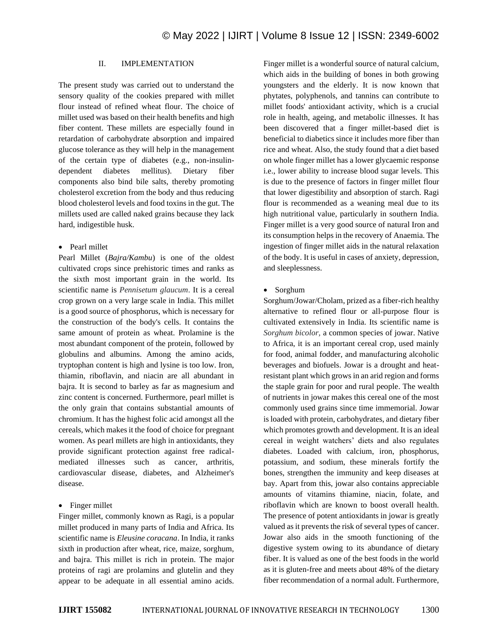# II. IMPLEMENTATION

The present study was carried out to understand the sensory quality of the cookies prepared with millet flour instead of refined wheat flour. The choice of millet used was based on their health benefits and high fiber content. These millets are especially found in retardation of carbohydrate absorption and impaired glucose tolerance as they will help in the management of the certain type of diabetes (e.g., non-insulindependent diabetes mellitus). Dietary fiber components also bind bile salts, thereby promoting cholesterol excretion from the body and thus reducing blood cholesterol levels and food toxins in the gut. The millets used are called naked grains because they lack hard, indigestible husk.

#### • Pearl millet

Pearl Millet (*Bajra/Kambu*) is one of the oldest cultivated crops since prehistoric times and ranks as the sixth most important grain in the world. Its scientific name is *Pennisetum glaucum*. It is a cereal crop grown on a very large scale in India. This millet is a good source of phosphorus, which is necessary for the construction of the body's cells. It contains the same amount of protein as wheat. Prolamine is the most abundant component of the protein, followed by globulins and albumins. Among the amino acids, tryptophan content is high and lysine is too low. Iron, thiamin, riboflavin, and niacin are all abundant in bajra. It is second to barley as far as magnesium and zinc content is concerned. Furthermore, pearl millet is the only grain that contains substantial amounts of chromium. It has the highest folic acid amongst all the cereals, which makes it the food of choice for pregnant women. As pearl millets are high in antioxidants, they provide significant protection against free radicalmediated illnesses such as cancer, arthritis, cardiovascular disease, diabetes, and Alzheimer's disease.

• Finger millet

Finger millet, commonly known as Ragi, is a popular millet produced in many parts of India and Africa. Its scientific name is *Eleusine coracana*. In India, it ranks sixth in production after wheat, rice, maize, sorghum, and bajra. This millet is rich in protein. The major proteins of ragi are prolamins and glutelin and they appear to be adequate in all essential amino acids.

Finger millet is a wonderful source of natural calcium, which aids in the building of bones in both growing youngsters and the elderly. It is now known that phytates, polyphenols, and tannins can contribute to millet foods' antioxidant activity, which is a crucial role in health, ageing, and metabolic illnesses. It has been discovered that a finger millet-based diet is beneficial to diabetics since it includes more fiber than rice and wheat. Also, the study found that a diet based on whole finger millet has a lower glycaemic response i.e., lower ability to increase blood sugar levels. This is due to the presence of factors in finger millet flour that lower digestibility and absorption of starch. Ragi flour is recommended as a weaning meal due to its high nutritional value, particularly in southern India. Finger millet is a very good source of natural Iron and its consumption helps in the recovery of Anaemia. The ingestion of finger millet aids in the natural relaxation of the body. It is useful in cases of anxiety, depression, and sleeplessness.

#### • Sorghum

Sorghum/Jowar/Cholam, prized as a fiber-rich healthy alternative to refined flour or all-purpose flour is cultivated extensively in India. Its scientific name is *Sorghum bicolor,* a common species of jowar. Native to Africa, it is an important cereal crop, used mainly for food, animal fodder, and manufacturing alcoholic beverages and biofuels. Jowar is a drought and heatresistant plant which grows in an arid region and forms the staple grain for poor and rural people. The wealth of nutrients in jowar makes this cereal one of the most commonly used grains since time immemorial. Jowar is loaded with protein, carbohydrates, and dietary fiber which promotes growth and development. It is an ideal cereal in weight watchers' diets and also regulates diabetes. Loaded with calcium, iron, phosphorus, potassium, and sodium, these minerals fortify the bones, strengthen the immunity and keep diseases at bay. Apart from this, jowar also contains appreciable amounts of vitamins thiamine, niacin, folate, and riboflavin which are known to boost overall health. The presence of potent antioxidants in jowar is greatly valued as it prevents the risk of several types of cancer. Jowar also aids in the smooth functioning of the digestive system owing to its abundance of dietary fiber. It is valued as one of the best foods in the world as it is gluten-free and meets about 48% of the dietary fiber recommendation of a normal adult. Furthermore,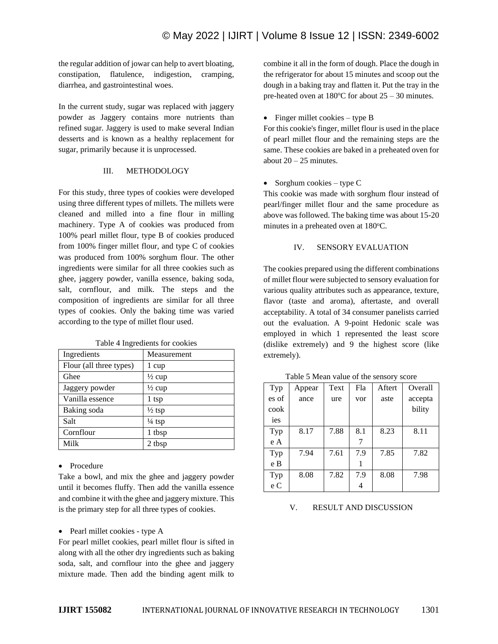the regular addition of jowar can help to avert bloating, constipation, flatulence, indigestion, cramping, diarrhea, and gastrointestinal woes.

In the current study, sugar was replaced with jaggery powder as Jaggery contains more nutrients than refined sugar. Jaggery is used to make several Indian desserts and is known as a healthy replacement for sugar, primarily because it is unprocessed.

## III. METHODOLOGY

For this study, three types of cookies were developed using three different types of millets. The millets were cleaned and milled into a fine flour in milling machinery. Type A of cookies was produced from 100% pearl millet flour, type B of cookies produced from 100% finger millet flour, and type C of cookies was produced from 100% sorghum flour. The other ingredients were similar for all three cookies such as ghee, jaggery powder, vanilla essence, baking soda, salt, cornflour, and milk. The steps and the composition of ingredients are similar for all three types of cookies. Only the baking time was varied according to the type of millet flour used.

| Ingredients             | Measurement       |
|-------------------------|-------------------|
| Flour (all three types) | 1 cup             |
| Ghee                    | $\frac{1}{2}$ cup |
| Jaggery powder          | $\frac{1}{2}$ cup |
| Vanilla essence         | 1 tsp             |
| Baking soda             | $\frac{1}{2}$ tsp |
| Salt                    | $\frac{1}{4}$ tsp |
| Cornflour               | 1 tbsp            |
| Milk                    | 2 tbsp            |

Table 4 Ingredients for cookies

## • Procedure

Take a bowl, and mix the ghee and jaggery powder until it becomes fluffy. Then add the vanilla essence and combine it with the ghee and jaggery mixture. This is the primary step for all three types of cookies.

## • Pearl millet cookies - type A

For pearl millet cookies, pearl millet flour is sifted in along with all the other dry ingredients such as baking soda, salt, and cornflour into the ghee and jaggery mixture made. Then add the binding agent milk to

combine it all in the form of dough. Place the dough in the refrigerator for about 15 minutes and scoop out the dough in a baking tray and flatten it. Put the tray in the pre-heated oven at  $180^{\circ}$ C for about  $25 - 30$  minutes.

# • Finger millet cookies – type B

For this cookie's finger, millet flour is used in the place of pearl millet flour and the remaining steps are the same. These cookies are baked in a preheated oven for about  $20 - 25$  minutes.

# • Sorghum cookies – type C

This cookie was made with sorghum flour instead of pearl/finger millet flour and the same procedure as above was followed. The baking time was about 15-20 minutes in a preheated oven at 180°C.

# IV. SENSORY EVALUATION

The cookies prepared using the different combinations of millet flour were subjected to sensory evaluation for various quality attributes such as appearance, texture, flavor (taste and aroma), aftertaste, and overall acceptability. A total of 34 consumer panelists carried out the evaluation. A 9-point Hedonic scale was employed in which 1 represented the least score (dislike extremely) and 9 the highest score (like extremely).

Table 5 Mean value of the sensory score

| Typ   | Appear | Text | Fla | Aftert | Overall |
|-------|--------|------|-----|--------|---------|
| es of | ance   | ure  | vor | aste   | accepta |
| cook  |        |      |     |        | bility  |
| ies   |        |      |     |        |         |
| Typ   | 8.17   | 7.88 | 8.1 | 8.23   | 8.11    |
| e A   |        |      |     |        |         |
| Typ   | 7.94   | 7.61 | 7.9 | 7.85   | 7.82    |
| e B   |        |      |     |        |         |
| Typ   | 8.08   | 7.82 | 7.9 | 8.08   | 7.98    |
| e C   |        |      |     |        |         |

# V. RESULT AND DISCUSSION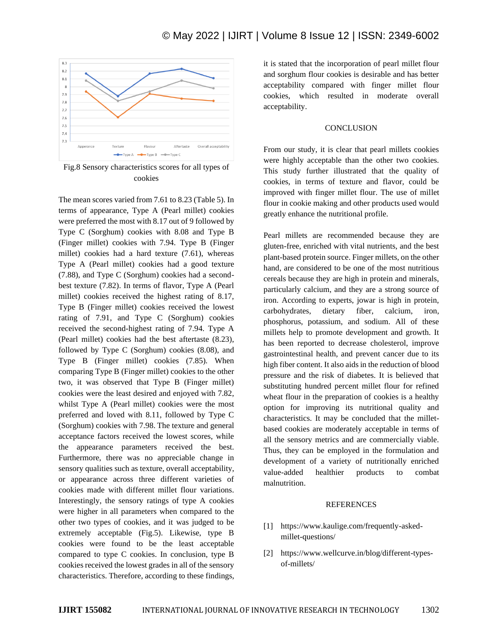

Fig.8 Sensory characteristics scores for all types of cookies

The mean scores varied from 7.61 to 8.23 (Table 5). In terms of appearance, Type A (Pearl millet) cookies were preferred the most with 8.17 out of 9 followed by Type C (Sorghum) cookies with 8.08 and Type B (Finger millet) cookies with 7.94. Type B (Finger millet) cookies had a hard texture (7.61), whereas Type A (Pearl millet) cookies had a good texture (7.88), and Type C (Sorghum) cookies had a secondbest texture (7.82). In terms of flavor, Type A (Pearl millet) cookies received the highest rating of 8.17, Type B (Finger millet) cookies received the lowest rating of 7.91, and Type C (Sorghum) cookies received the second-highest rating of 7.94. Type A (Pearl millet) cookies had the best aftertaste (8.23), followed by Type C (Sorghum) cookies (8.08), and Type B (Finger millet) cookies (7.85). When comparing Type B (Finger millet) cookies to the other two, it was observed that Type B (Finger millet) cookies were the least desired and enjoyed with 7.82, whilst Type A (Pearl millet) cookies were the most preferred and loved with 8.11, followed by Type C (Sorghum) cookies with 7.98. The texture and general acceptance factors received the lowest scores, while the appearance parameters received the best. Furthermore, there was no appreciable change in sensory qualities such as texture, overall acceptability, or appearance across three different varieties of cookies made with different millet flour variations. Interestingly, the sensory ratings of type A cookies were higher in all parameters when compared to the other two types of cookies, and it was judged to be extremely acceptable (Fig.5). Likewise, type B cookies were found to be the least acceptable compared to type C cookies. In conclusion, type B cookies received the lowest grades in all of the sensory characteristics. Therefore, according to these findings,

it is stated that the incorporation of pearl millet flour and sorghum flour cookies is desirable and has better acceptability compared with finger millet flour cookies, which resulted in moderate overall acceptability.

#### **CONCLUSION**

From our study, it is clear that pearl millets cookies were highly acceptable than the other two cookies. This study further illustrated that the quality of cookies, in terms of texture and flavor, could be improved with finger millet flour. The use of millet flour in cookie making and other products used would greatly enhance the nutritional profile.

Pearl millets are recommended because they are gluten-free, enriched with vital nutrients, and the best plant-based protein source. Finger millets, on the other hand, are considered to be one of the most nutritious cereals because they are high in protein and minerals, particularly calcium, and they are a strong source of iron. According to experts, jowar is high in protein, carbohydrates, dietary fiber, calcium, iron, phosphorus, potassium, and sodium. All of these millets help to promote development and growth. It has been reported to decrease cholesterol, improve gastrointestinal health, and prevent cancer due to its high fiber content. It also aids in the reduction of blood pressure and the risk of diabetes. It is believed that substituting hundred percent millet flour for refined wheat flour in the preparation of cookies is a healthy option for improving its nutritional quality and characteristics. It may be concluded that the milletbased cookies are moderately acceptable in terms of all the sensory metrics and are commercially viable. Thus, they can be employed in the formulation and development of a variety of nutritionally enriched value-added healthier products to combat malnutrition.

#### **REFERENCES**

- [1] https://www.kaulige.com/frequently-askedmillet-questions/
- [2] https://www.wellcurve.in/blog/different-typesof-millets/